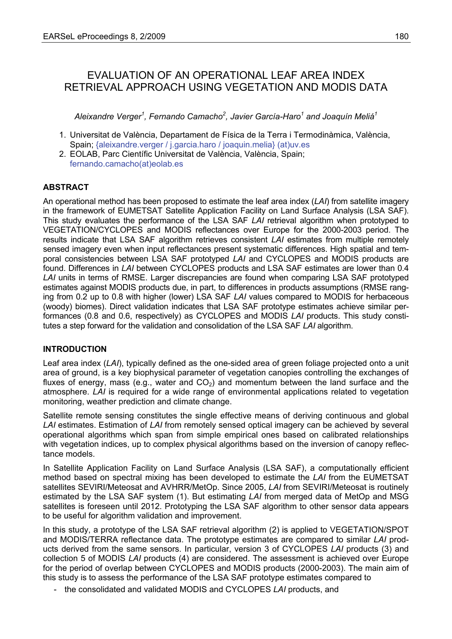# EVALUATION OF AN OPERATIONAL LEAF AREA INDEX RETRIEVAL APPROACH USING VEGETATION AND MODIS DATA

*Aleixandre Verger<sup>1</sup> , Fernando Camacho<sup>2</sup> , Javier García-Haro<sup>1</sup> and Joaquín Meliá<sup>1</sup>*

- 1. Universitat de València, Departament de Física de la Terra i Termodinàmica, València, Spain; {aleixandre.verger / j.garcia.haro / joaquin.melia} (at)uv.es
- 2. EOLAB, Parc Científic Universitat de València, València, Spain; fernando.camacho(at)eolab.es

# **ABSTRACT**

An operational method has been proposed to estimate the leaf area index (*LAI*) from satellite imagery in the framework of EUMETSAT Satellite Application Facility on Land Surface Analysis (LSA SAF). This study evaluates the performance of the LSA SAF *LAI* retrieval algorithm when prototyped to VEGETATION/CYCLOPES and MODIS reflectances over Europe for the 2000-2003 period. The results indicate that LSA SAF algorithm retrieves consistent *LAI* estimates from multiple remotely sensed imagery even when input reflectances present systematic differences. High spatial and temporal consistencies between LSA SAF prototyped *LAI* and CYCLOPES and MODIS products are found. Differences in *LAI* between CYCLOPES products and LSA SAF estimates are lower than 0.4 *LAI* units in terms of RMSE. Larger discrepancies are found when comparing LSA SAF prototyped estimates against MODIS products due, in part, to differences in products assumptions (RMSE ranging from 0.2 up to 0.8 with higher (lower) LSA SAF *LAI* values compared to MODIS for herbaceous (woody) biomes). Direct validation indicates that LSA SAF prototype estimates achieve similar performances (0.8 and 0.6, respectively) as CYCLOPES and MODIS *LAI* products. This study constitutes a step forward for the validation and consolidation of the LSA SAF *LAI* algorithm.

# **INTRODUCTION**

Leaf area index (*LAI*), typically defined as the one-sided area of green foliage projected onto a unit area of ground, is a key biophysical parameter of vegetation canopies controlling the exchanges of fluxes of energy, mass (e.g., water and  $CO<sub>2</sub>$ ) and momentum between the land surface and the atmosphere. *LAI* is required for a wide range of environmental applications related to vegetation monitoring, weather prediction and climate change.

Satellite remote sensing constitutes the single effective means of deriving continuous and global *LAI* estimates. Estimation of *LAI* from remotely sensed optical imagery can be achieved by several operational algorithms which span from simple empirical ones based on calibrated relationships with vegetation indices, up to complex physical algorithms based on the inversion of canopy reflectance models.

In Satellite Application Facility on Land Surface Analysis (LSA SAF), a computationally efficient method based on spectral mixing has been developed to estimate the *LAI* from the EUMETSAT satellites SEVIRI/Meteosat and AVHRR/MetOp. Since 2005, *LAI* from SEVIRI/Meteosat is routinely estimated by the LSA SAF system (1). But estimating *LAI* from merged data of MetOp and MSG satellites is foreseen until 2012. Prototyping the LSA SAF algorithm to other sensor data appears to be useful for algorithm validation and improvement.

In this study, a prototype of the LSA SAF retrieval algorithm (2) is applied to VEGETATION/SPOT and MODIS/TERRA reflectance data. The prototype estimates are compared to similar *LAI* products derived from the same sensors. In particular, version 3 of CYCLOPES *LAI* products (3) and collection 5 of MODIS *LAI* products (4) are considered. The assessment is achieved over Europe for the period of overlap between CYCLOPES and MODIS products (2000-2003). The main aim of this study is to assess the performance of the LSA SAF prototype estimates compared to

- the consolidated and validated MODIS and CYCLOPES *LAI* products, and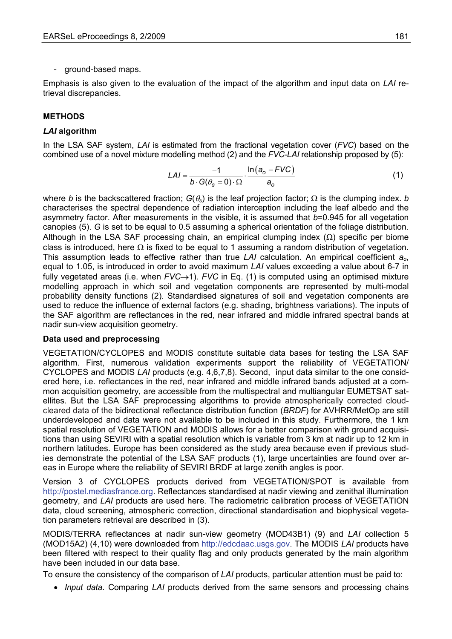- ground-based maps.

Emphasis is also given to the evaluation of the impact of the algorithm and input data on *LAI* retrieval discrepancies.

# **METHODS**

### *LAI* **algorithm**

In the LSA SAF system, *LAI* is estimated from the fractional vegetation cover (*FVC*) based on the combined use of a novel mixture modelling method (2) and the *FVC*-*LAI* relationship proposed by (5):

$$
LAI = \frac{-1}{b \cdot G(\theta_{\rm s} = 0) \cdot \Omega} \cdot \frac{\ln(a_{\rm o} - FVC)}{a_{\rm o}} \tag{1}
$$

where *b* is the backscattered fraction;  $G(\theta_s)$  is the leaf projection factor;  $\Omega$  is the clumping index. *b* characterises the spectral dependence of radiation interception including the leaf albedo and the asymmetry factor. After measurements in the visible, it is assumed that *b*=0.945 for all vegetation canopies (5). *G* is set to be equal to 0.5 assuming a spherical orientation of the foliage distribution. Although in the LSA SAF processing chain, an empirical clumping index  $(\Omega)$  specific per biome class is introduced, here  $\Omega$  is fixed to be equal to 1 assuming a random distribution of vegetation. This assumption leads to effective rather than true *LAI* calculation. An empirical coefficient *ao*, equal to 1.05, is introduced in order to avoid maximum *LAI* values exceeding a value about 6-7 in fully vegetated areas (i.e. when *FVC*→1). *FVC* in Eq. (1) is computed using an optimised mixture modelling approach in which soil and vegetation components are represented by multi-modal probability density functions (2). Standardised signatures of soil and vegetation components are used to reduce the influence of external factors (e.g. shading, brightness variations). The inputs of the SAF algorithm are reflectances in the red, near infrared and middle infrared spectral bands at nadir sun-view acquisition geometry.

#### **Data used and preprocessing**

VEGETATION/CYCLOPES and MODIS constitute suitable data bases for testing the LSA SAF algorithm. First, numerous validation experiments support the reliability of VEGETATION/ CYCLOPES and MODIS *LAI* products (e.g. 4,6,7,8). Second, input data similar to the one considered here, i.e. reflectances in the red, near infrared and middle infrared bands adjusted at a common acquisition geometry, are accessible from the multispectral and multiangular EUMETSAT satellites. But the LSA SAF preprocessing algorithms to provide atmospherically corrected cloudcleared data of the bidirectional reflectance distribution function (*BRDF*) for AVHRR/MetOp are still underdeveloped and data were not available to be included in this study. Furthermore, the 1 km spatial resolution of VEGETATION and MODIS allows for a better comparison with ground acquisitions than using SEVIRI with a spatial resolution which is variable from 3 km at nadir up to 12 km in northern latitudes. Europe has been considered as the study area because even if previous studies demonstrate the potential of the LSA SAF products (1), large uncertainties are found over areas in Europe where the reliability of SEVIRI BRDF at large zenith angles is poor.

Version 3 of CYCLOPES products derived from VEGETATION/SPOT is available from http://postel.mediasfrance.org. Reflectances standardised at nadir viewing and zenithal illumination geometry, and *LAI* products are used here. The radiometric calibration process of VEGETATION data, cloud screening, atmospheric correction, directional standardisation and biophysical vegetation parameters retrieval are described in (3).

MODIS/TERRA reflectances at nadir sun-view geometry (MOD43B1) (9) and *LAI* collection 5 (MOD15A2) (4,10) were downloaded from http://edcdaac.usgs.gov. The MODIS *LAI* products have been filtered with respect to their quality flag and only products generated by the main algorithm have been included in our data base.

To ensure the consistency of the comparison of *LAI* products, particular attention must be paid to:

• *Input data*. Comparing *LAI* products derived from the same sensors and processing chains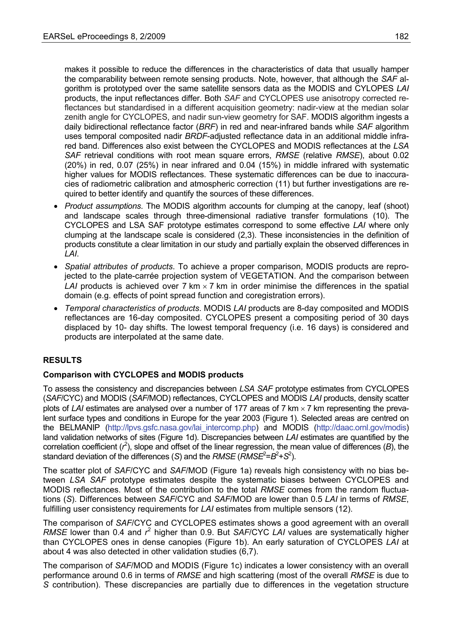makes it possible to reduce the differences in the characteristics of data that usually hamper the comparability between remote sensing products. Note, however, that although the *SAF* algorithm is prototyped over the same satellite sensors data as the MODIS and CYLOPES *LAI* products, the input reflectances differ. Both *SAF* and CYCLOPES use anisotropy corrected reflectances but standardised in a different acquisition geometry: nadir-view at the median solar zenith angle for CYCLOPES, and nadir sun-view geometry for SAF. MODIS algorithm ingests a daily bidirectional reflectance factor (*BRF*) in red and near-infrared bands while *SAF* algorithm uses temporal composited nadir *BRDF*-adjusted reflectance data in an additional middle infrared band. Differences also exist between the CYCLOPES and MODIS reflectances at the *LSA SAF* retrieval conditions with root mean square errors, *RMSE* (relative *RMSE*), about 0.02 (20%) in red, 0.07 (25%) in near infrared and 0.04 (15%) in middle infrared with systematic higher values for MODIS reflectances. These systematic differences can be due to inaccuracies of radiometric calibration and atmospheric correction (11) but further investigations are required to better identify and quantify the sources of these differences.

- *Product assumptions*. The MODIS algorithm accounts for clumping at the canopy, leaf (shoot) and landscape scales through three-dimensional radiative transfer formulations (10). The CYCLOPES and LSA SAF prototype estimates correspond to some effective *LAI* where only clumping at the landscape scale is considered (2,3). These inconsistencies in the definition of products constitute a clear limitation in our study and partially explain the observed differences in *LAI*.
- *Spatial attributes of products*. To achieve a proper comparison, MODIS products are reprojected to the plate-carrée projection system of VEGETATION. And the comparison between *LAI* products is achieved over 7 km  $\times$  7 km in order minimise the differences in the spatial domain (e.g. effects of point spread function and coregistration errors).
- *Temporal characteristics of products*. MODIS *LAI* products are 8-day composited and MODIS reflectances are 16-day composited. CYCLOPES present a compositing period of 30 days displaced by 10- day shifts. The lowest temporal frequency (i.e. 16 days) is considered and products are interpolated at the same date.

# **RESULTS**

#### **Comparison with CYCLOPES and MODIS products**

To assess the consistency and discrepancies between *LSA SAF* prototype estimates from CYCLOPES (*SAF*/CYC) and MODIS (*SAF*/MOD) reflectances, CYCLOPES and MODIS *LAI* products, density scatter plots of *LAI* estimates are analysed over a number of 177 areas of 7 km × 7 km representing the prevalent surface types and conditions in Europe for the year 2003 (Figure 1). Selected areas are centred on the BELMANIP (http://lpvs.gsfc.nasa.gov/lai\_intercomp.php) and MODIS (http://daac.ornl.gov/modis) land validation networks of sites (Figure 1d). Discrepancies between *LAI* estimates are quantified by the correlation coefficient  $(r^2)$ , slope and offset of the linear regression, the mean value of differences  $(B)$ , the standard deviation of the differences (*S*) and the *RMSE* (*RMSE*<sup>2</sup>= $B^2+S^2$ ).

The scatter plot of *SAF*/CYC and *SAF*/MOD (Figure 1a) reveals high consistency with no bias between *LSA SAF* prototype estimates despite the systematic biases between CYCLOPES and MODIS reflectances. Most of the contribution to the total *RMSE* comes from the random fluctuations (*S*). Differences between *SAF*/CYC and *SAF*/MOD are lower than 0.5 *LAI* in terms of *RMSE*, fulfilling user consistency requirements for *LAI* estimates from multiple sensors (12).

The comparison of *SAF*/CYC and CYCLOPES estimates shows a good agreement with an overall RMSE lower than 0.4 and  $r^2$  higher than 0.9. But *SAF/CYC LAI* values are systematically higher than CYCLOPES ones in dense canopies (Figure 1b). An early saturation of CYCLOPES *LAI* at about 4 was also detected in other validation studies (6,7).

The comparison of *SAF*/MOD and MODIS (Figure 1c) indicates a lower consistency with an overall performance around 0.6 in terms of *RMSE* and high scattering (most of the overall *RMSE* is due to *S* contribution). These discrepancies are partially due to differences in the vegetation structure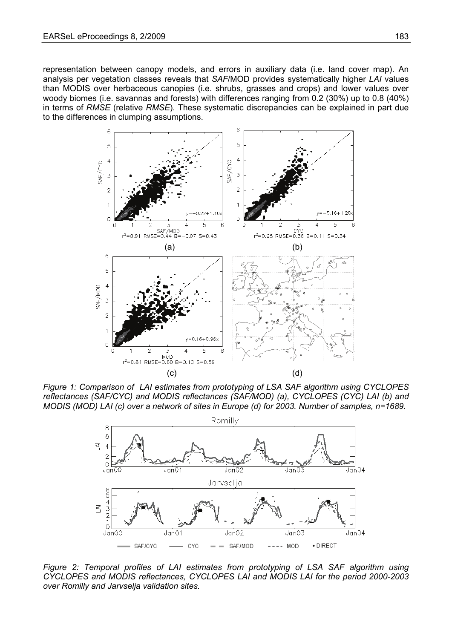representation between canopy models, and errors in auxiliary data (i.e. land cover map). An analysis per vegetation classes reveals that *SAF*/MOD provides systematically higher *LAI* values than MODIS over herbaceous canopies (i.e. shrubs, grasses and crops) and lower values over woody biomes (i.e. savannas and forests) with differences ranging from 0.2 (30%) up to 0.8 (40%) in terms of *RMSE* (relative *RMSE*). These systematic discrepancies can be explained in part due to the differences in clumping assumptions.



*Figure 1: Comparison of LAI estimates from prototyping of LSA SAF algorithm using CYCLOPES reflectances (SAF/CYC) and MODIS reflectances (SAF/MOD) (a), CYCLOPES (CYC) LAI (b) and MODIS (MOD) LAI (c) over a network of sites in Europe (d) for 2003. Number of samples, n=1689.* 



*Figure 2: Temporal profiles of LAI estimates from prototyping of LSA SAF algorithm using CYCLOPES and MODIS reflectances, CYCLOPES LAI and MODIS LAI for the period 2000-2003 over Romilly and Jarvselja validation sites.*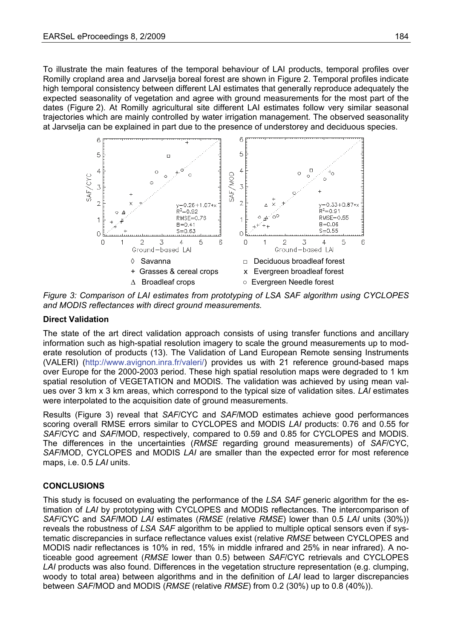To illustrate the main features of the temporal behaviour of LAI products, temporal profiles over Romilly cropland area and Jarvselja boreal forest are shown in Figure 2. Temporal profiles indicate high temporal consistency between different LAI estimates that generally reproduce adequately the expected seasonality of vegetation and agree with ground measurements for the most part of the dates (Figure 2). At Romilly agricultural site different LAI estimates follow very similar seasonal trajectories which are mainly controlled by water irrigation management. The observed seasonality at Jarvselja can be explained in part due to the presence of understorey and deciduous species.



*Figure 3: Comparison of LAI estimates from prototyping of LSA SAF algorithm using CYCLOPES and MODIS reflectances with direct ground measurements.* 

### **Direct Validation**

The state of the art direct validation approach consists of using transfer functions and ancillary information such as high-spatial resolution imagery to scale the ground measurements up to moderate resolution of products (13). The Validation of Land European Remote sensing Instruments (VALERI) (http://www.avignon.inra.fr/valeri/) provides us with 21 reference ground-based maps over Europe for the 2000-2003 period. These high spatial resolution maps were degraded to 1 km spatial resolution of VEGETATION and MODIS. The validation was achieved by using mean values over 3 km x 3 km areas, which correspond to the typical size of validation sites. *LAI* estimates were interpolated to the acquisition date of ground measurements.

Results (Figure 3) reveal that *SAF*/CYC and *SAF*/MOD estimates achieve good performances scoring overall RMSE errors similar to CYCLOPES and MODIS *LAI* products: 0.76 and 0.55 for *SAF*/CYC and *SAF*/MOD, respectively, compared to 0.59 and 0.85 for CYCLOPES and MODIS. The differences in the uncertainties (*RMSE* regarding ground measurements) of *SAF*/CYC, *SAF*/MOD, CYCLOPES and MODIS *LAI* are smaller than the expected error for most reference maps, i.e. 0.5 *LAI* units.

#### **CONCLUSIONS**

This study is focused on evaluating the performance of the *LSA SAF* generic algorithm for the estimation of *LAI* by prototyping with CYCLOPES and MODIS reflectances. The intercomparison of *SAF*/CYC and *SAF*/MOD *LAI* estimates (*RMSE* (relative *RMSE*) lower than 0.5 *LAI* units (30%)) reveals the robustness of *LSA SAF* algorithm to be applied to multiple optical sensors even if systematic discrepancies in surface reflectance values exist (relative *RMSE* between CYCLOPES and MODIS nadir reflectances is 10% in red, 15% in middle infrared and 25% in near infrared). A noticeable good agreement (*RMSE* lower than 0.5) between *SAF*/CYC retrievals and CYCLOPES *LAI* products was also found. Differences in the vegetation structure representation (e.g. clumping, woody to total area) between algorithms and in the definition of *LAI* lead to larger discrepancies between *SAF*/MOD and MODIS (*RMSE* (relative *RMSE*) from 0.2 (30%) up to 0.8 (40%)).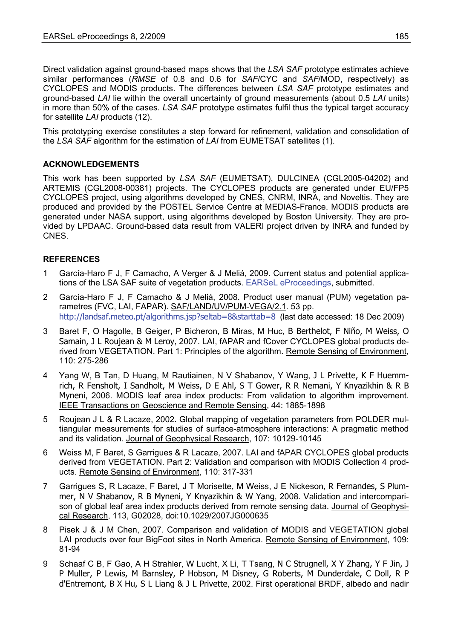Direct validation against ground-based maps shows that the *LSA SAF* prototype estimates achieve similar performances (*RMSE* of 0.8 and 0.6 for *SAF*/CYC and *SAF*/MOD, respectively) as CYCLOPES and MODIS products. The differences between *LSA SAF* prototype estimates and ground-based *LAI* lie within the overall uncertainty of ground measurements (about 0.5 *LAI* units) in more than 50% of the cases. *LSA SAF* prototype estimates fulfil thus the typical target accuracy for satellite *LAI* products (12).

This prototyping exercise constitutes a step forward for refinement, validation and consolidation of the *LSA SAF* algorithm for the estimation of *LAI* from EUMETSAT satellites (1).

# **ACKNOWLEDGEMENTS**

This work has been supported by *LSA SAF* (EUMETSAT), DULCINEA (CGL2005-04202) and ARTEMIS (CGL2008-00381) projects. The CYCLOPES products are generated under EU/FP5 CYCLOPES project, using algorithms developed by CNES, CNRM, INRA, and Noveltis. They are produced and provided by the POSTEL Service Centre at MEDIAS-France. MODIS products are generated under NASA support, using algorithms developed by Boston University. They are provided by LPDAAC. Ground-based data result from VALERI project driven by INRA and funded by CNES.

#### **REFERENCES**

- 1 García-Haro F J, F Camacho, A Verger & J Meliá, 2009. Current status and potential applications of the LSA SAF suite of vegetation products. [EARSeL eProceedings](http://www.eproceedings.org/), submitted.
- 2 García-Haro F J, F Camacho & J Meliá, 2008. Product user manual (PUM) vegetation parametres (FVC, LAI, FAPAR). SAF/LAND/UV/PUM-VEGA/2.1. 53 pp. http://landsaf.meteo.pt/algorithms.jsp?seltab=[8](http://landsaf.meteo.pt/algorithms.jsp?seltab=8&starttab=8)&starttab=8 (last date accessed: 18 Dec 2009)
- 3 Baret F, O Hagolle, B Geiger, P Bicheron, B Miras, M Huc, B Berthelot, F Niño, M Weiss, O Samain, J L Roujean & M Leroy, 2007. LAI, fAPAR and fCover CYCLOPES global products derived from VEGETATION. Part 1: Principles of the algorithm. Remote Sensing of Environment, 110: 275-286
- 4 Yang W, B Tan, D Huang, M Rautiainen, N V Shabanov, Y Wang, J L Privette, K F Huemmrich, R Fensholt, I Sandholt, M Weiss, D E Ahl, S T Gower, R R Nemani, Y Knyazikhin & R B Myneni, 2006. MODIS leaf area index products: From validation to algorithm improvement. IEEE Transactions on Geoscience and Remote Sensing, 44: 1885-1898
- 5 Roujean J L & R Lacaze, 2002. Global mapping of vegetation parameters from POLDER multiangular measurements for studies of surface-atmosphere interactions: A pragmatic method and its validation. Journal of Geophysical Research, 107: 10129-10145
- 6 Weiss M, F Baret, S Garrigues & R Lacaze, 2007. LAI and fAPAR CYCLOPES global products derived from VEGETATION. Part 2: Validation and comparison with MODIS Collection 4 products. Remote Sensing of Environment, 110: 317-331
- 7 Garrigues S, R Lacaze, F Baret, J T Morisette, M Weiss, J E Nickeson, R Fernandes, S Plummer, N V Shabanov, R B Myneni, Y Knyazikhin & W Yang, 2008. Validation and intercomparison of global leaf area index products derived from remote sensing data. Journal of Geophysical Research, 113, G02028, doi:10.1029/2007JG000635
- 8 Pisek J & J M Chen, 2007. Comparison and validation of MODIS and VEGETATION global LAI products over four BigFoot sites in North America. Remote Sensing of Environment, 109: 81-94
- 9 Schaaf C B, F Gao, A H Strahler, W Lucht, X Li, T Tsang, N C Strugnell, X Y Zhang, Y F Jin, J P Muller, P Lewis, M Barnsley, P Hobson, M Disney, G Roberts, M Dunderdale, C Doll, R P d'Entremont, B X Hu, S L Liang & J L Privette, 2002. First operational BRDF, albedo and nadir